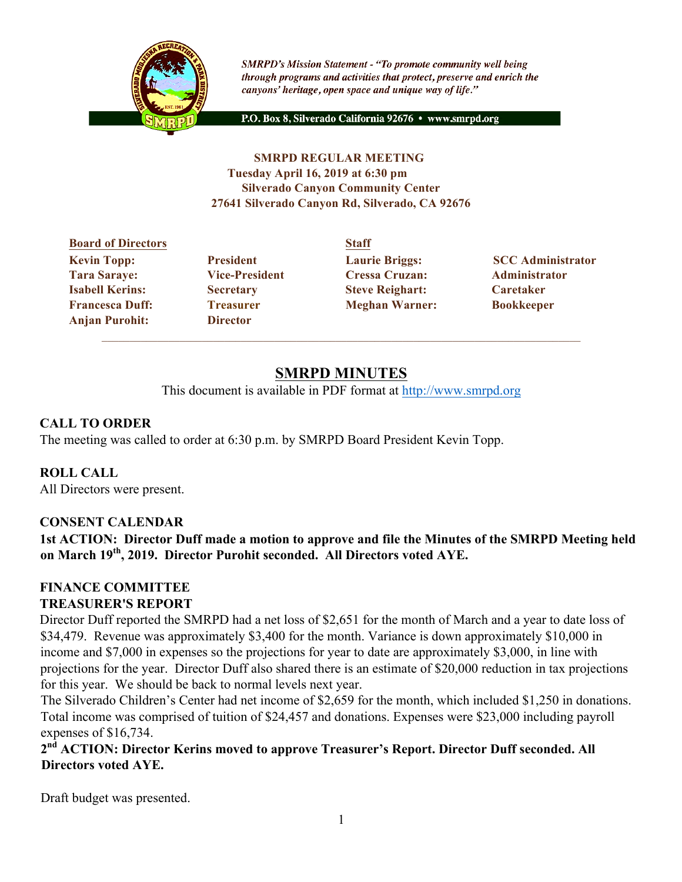

**SMRPD's Mission Statement - "To promote community well being** through programs and activities that protect, preserve and enrich the canyons' heritage, open space and unique way of life."

P.O. Box 8, Silverado California 92676 · www.smrpd.org

#### **SMRPD REGULAR MEETING Tuesday April 16, 2019 at 6:30 pm Silverado Canyon Community Center 27641 Silverado Canyon Rd, Silverado, CA 92676**

# **Board of Directors Staff Tara Saraye: Vice-President Cressa Cruzan: Administrator Isabell Kerins: Secretary Steve Reighart: Caretaker Francesca Duff: Treasurer Meghan Warner: Bookkeeper Anjan Purohit: Director**

**Kevin Topp:** President Laurie Briggs: SCC Administrator

# **SMRPD MINUTES**

This document is available in PDF format at http://www.smrpd.org

# **CALL TO ORDER**

The meeting was called to order at 6:30 p.m. by SMRPD Board President Kevin Topp.

# **ROLL CALL**

All Directors were present.

# **CONSENT CALENDAR**

**1st ACTION: Director Duff made a motion to approve and file the Minutes of the SMRPD Meeting held on March 19th, 2019. Director Purohit seconded. All Directors voted AYE.**

#### **FINANCE COMMITTEE TREASURER'S REPORT**

Director Duff reported the SMRPD had a net loss of \$2,651 for the month of March and a year to date loss of \$34,479. Revenue was approximately \$3,400 for the month. Variance is down approximately \$10,000 in income and \$7,000 in expenses so the projections for year to date are approximately \$3,000, in line with projections for the year. Director Duff also shared there is an estimate of \$20,000 reduction in tax projections for this year. We should be back to normal levels next year.

The Silverado Children's Center had net income of \$2,659 for the month, which included \$1,250 in donations. Total income was comprised of tuition of \$24,457 and donations. Expenses were \$23,000 including payroll expenses of \$16,734.

**2nd ACTION: Director Kerins moved to approve Treasurer's Report. Director Duff seconded. All Directors voted AYE.**

Draft budget was presented.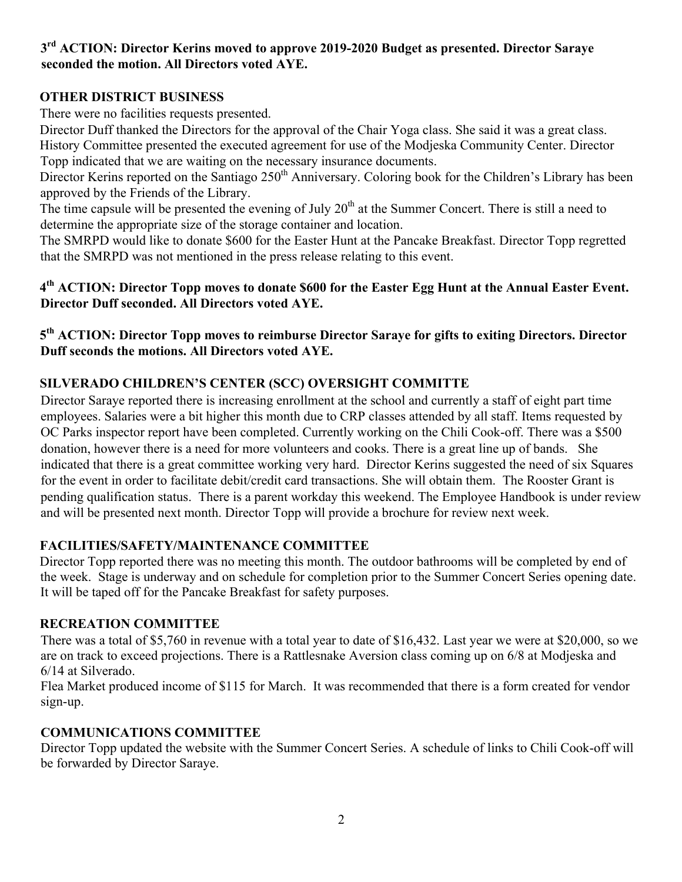#### **3rd ACTION: Director Kerins moved to approve 2019-2020 Budget as presented. Director Saraye seconded the motion. All Directors voted AYE.**

# **OTHER DISTRICT BUSINESS**

There were no facilities requests presented.

Director Duff thanked the Directors for the approval of the Chair Yoga class. She said it was a great class. History Committee presented the executed agreement for use of the Modjeska Community Center. Director Topp indicated that we are waiting on the necessary insurance documents.

Director Kerins reported on the Santiago 250<sup>th</sup> Anniversary. Coloring book for the Children's Library has been approved by the Friends of the Library.

The time capsule will be presented the evening of July  $20<sup>th</sup>$  at the Summer Concert. There is still a need to determine the appropriate size of the storage container and location.

The SMRPD would like to donate \$600 for the Easter Hunt at the Pancake Breakfast. Director Topp regretted that the SMRPD was not mentioned in the press release relating to this event.

# **4th ACTION: Director Topp moves to donate \$600 for the Easter Egg Hunt at the Annual Easter Event. Director Duff seconded. All Directors voted AYE.**

# **5th ACTION: Director Topp moves to reimburse Director Saraye for gifts to exiting Directors. Director Duff seconds the motions. All Directors voted AYE.**

# **SILVERADO CHILDREN'S CENTER (SCC) OVERSIGHT COMMITTE**

Director Saraye reported there is increasing enrollment at the school and currently a staff of eight part time employees. Salaries were a bit higher this month due to CRP classes attended by all staff. Items requested by OC Parks inspector report have been completed. Currently working on the Chili Cook-off. There was a \$500 donation, however there is a need for more volunteers and cooks. There is a great line up of bands. She indicated that there is a great committee working very hard. Director Kerins suggested the need of six Squares for the event in order to facilitate debit/credit card transactions. She will obtain them. The Rooster Grant is pending qualification status. There is a parent workday this weekend. The Employee Handbook is under review and will be presented next month. Director Topp will provide a brochure for review next week.

# **FACILITIES/SAFETY/MAINTENANCE COMMITTEE**

Director Topp reported there was no meeting this month. The outdoor bathrooms will be completed by end of the week. Stage is underway and on schedule for completion prior to the Summer Concert Series opening date. It will be taped off for the Pancake Breakfast for safety purposes.

# **RECREATION COMMITTEE**

There was a total of \$5,760 in revenue with a total year to date of \$16,432. Last year we were at \$20,000, so we are on track to exceed projections. There is a Rattlesnake Aversion class coming up on 6/8 at Modjeska and 6/14 at Silverado.

Flea Market produced income of \$115 for March. It was recommended that there is a form created for vendor sign-up.

# **COMMUNICATIONS COMMITTEE**

Director Topp updated the website with the Summer Concert Series. A schedule of links to Chili Cook-off will be forwarded by Director Saraye.